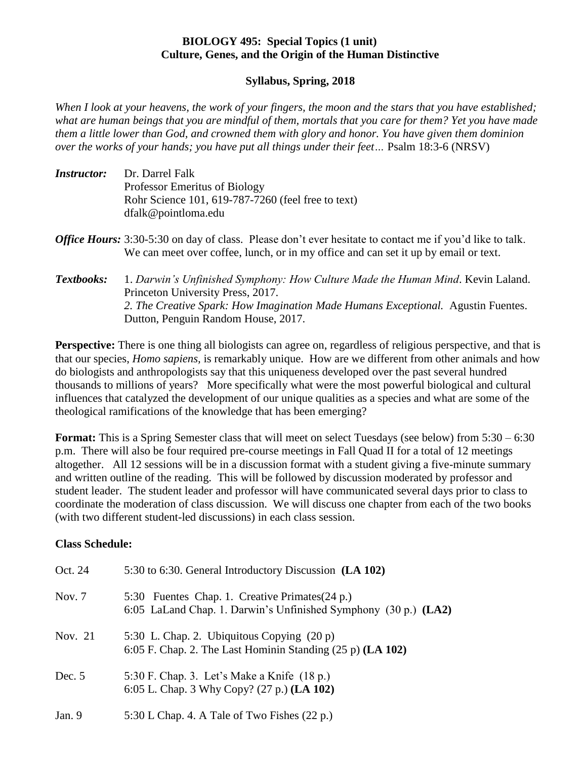## **BIOLOGY 495: Special Topics (1 unit) Culture, Genes, and the Origin of the Human Distinctive**

## **Syllabus, Spring, 2018**

*When I look at your heavens, the work of your fingers, the moon and the stars that you have established; what are human beings that you are mindful of them, mortals that you care for them? Yet you have made them a little lower than God, and crowned them with glory and honor. You have given them dominion over the works of your hands; you have put all things under their feet…* Psalm 18:3-6 (NRSV)

- *Instructor:* Dr. Darrel Falk Professor Emeritus of Biology Rohr Science 101, 619-787-7260 (feel free to text) dfalk@pointloma.edu
- *Office Hours:* 3:30-5:30 on day of class. Please don't ever hesitate to contact me if you'd like to talk. We can meet over coffee, lunch, or in my office and can set it up by email or text.
- *Textbooks:* 1. *Darwin's Unfinished Symphony: How Culture Made the Human Mind*. Kevin Laland. Princeton University Press, 2017. *2. The Creative Spark: How Imagination Made Humans Exceptional.* Agustin Fuentes. Dutton, Penguin Random House, 2017.

**Perspective:** There is one thing all biologists can agree on, regardless of religious perspective, and that is that our species, *Homo sapiens,* is remarkably unique. How are we different from other animals and how do biologists and anthropologists say that this uniqueness developed over the past several hundred thousands to millions of years? More specifically what were the most powerful biological and cultural influences that catalyzed the development of our unique qualities as a species and what are some of the theological ramifications of the knowledge that has been emerging?

**Format:** This is a Spring Semester class that will meet on select Tuesdays (see below) from 5:30 – 6:30 p.m. There will also be four required pre-course meetings in Fall Quad II for a total of 12 meetings altogether. All 12 sessions will be in a discussion format with a student giving a five-minute summary and written outline of the reading. This will be followed by discussion moderated by professor and student leader. The student leader and professor will have communicated several days prior to class to coordinate the moderation of class discussion. We will discuss one chapter from each of the two books (with two different student-led discussions) in each class session.

### **Class Schedule:**

| Oct. 24  | 5:30 to 6:30. General Introductory Discussion (LA 102)                                                             |
|----------|--------------------------------------------------------------------------------------------------------------------|
| Nov. $7$ | 5:30 Fuentes Chap. 1. Creative Primates (24 p.)<br>6:05 LaLand Chap. 1. Darwin's Unfinished Symphony (30 p.) (LA2) |
| Nov. 21  | 5:30 L. Chap. 2. Ubiquitous Copying $(20 p)$<br>6:05 F. Chap. 2. The Last Hominin Standing (25 p) (LA 102)         |
| Dec. $5$ | 5:30 F. Chap. 3. Let's Make a Knife (18 p.)<br>6:05 L. Chap. 3 Why Copy? (27 p.) (LA 102)                          |
| Jan. 9   | 5:30 L Chap. 4. A Tale of Two Fishes $(22 p.)$                                                                     |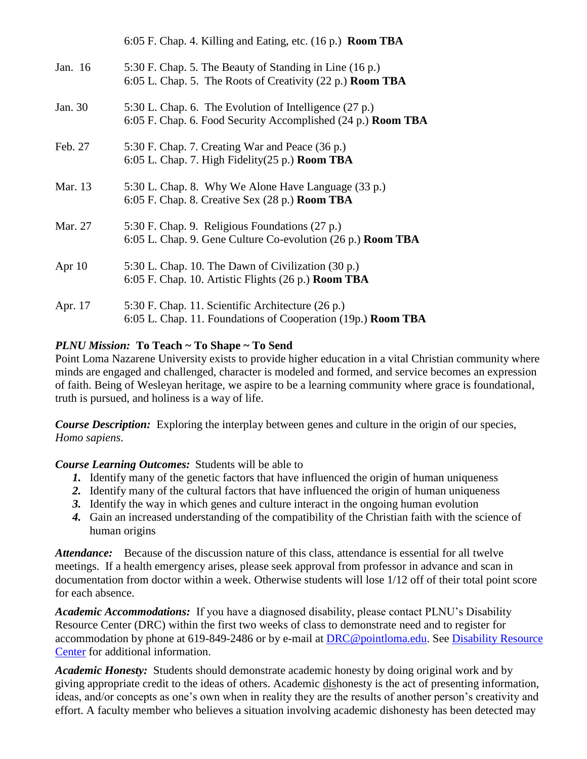|          | 6:05 F. Chap. 4. Killing and Eating, etc. (16 p.) Room TBA                                                                    |
|----------|-------------------------------------------------------------------------------------------------------------------------------|
| Jan. 16  | 5:30 F. Chap. 5. The Beauty of Standing in Line (16 p.)<br>6:05 L. Chap. 5. The Roots of Creativity (22 p.) <b>Room TBA</b>   |
| Jan. 30  | 5:30 L. Chap. 6. The Evolution of Intelligence (27 p.)<br>6:05 F. Chap. 6. Food Security Accomplished (24 p.) <b>Room TBA</b> |
| Feb. 27  | 5:30 F. Chap. 7. Creating War and Peace (36 p.)<br>6:05 L. Chap. 7. High Fidelity (25 p.) Room TBA                            |
| Mar. 13  | 5:30 L. Chap. 8. Why We Alone Have Language (33 p.)<br>$6:05$ F. Chap. 8. Creative Sex (28 p.) <b>Room TBA</b>                |
| Mar. 27  | 5:30 F. Chap. 9. Religious Foundations (27 p.)<br>6:05 L. Chap. 9. Gene Culture Co-evolution (26 p.) <b>Room TBA</b>          |
| Apr $10$ | 5:30 L. Chap. 10. The Dawn of Civilization (30 p.)<br>6:05 F. Chap. 10. Artistic Flights (26 p.) <b>Room TBA</b>              |
| Apr. 17  | 5:30 F. Chap. 11. Scientific Architecture (26 p.)<br>6:05 L. Chap. 11. Foundations of Cooperation (19p.) Room TBA             |

# *PLNU Mission:* **To Teach ~ To Shape ~ To Send**

Point Loma Nazarene University exists to provide higher education in a vital Christian community where minds are engaged and challenged, character is modeled and formed, and service becomes an expression of faith. Being of Wesleyan heritage, we aspire to be a learning community where grace is foundational, truth is pursued, and holiness is a way of life.

*Course Description:* Exploring the interplay between genes and culture in the origin of our species, *Homo sapiens*.

### *Course Learning Outcomes:* Students will be able to

- *1.* Identify many of the genetic factors that have influenced the origin of human uniqueness
- *2.* Identify many of the cultural factors that have influenced the origin of human uniqueness
- *3.* Identify the way in which genes and culture interact in the ongoing human evolution
- *4.* Gain an increased understanding of the compatibility of the Christian faith with the science of human origins

*Attendance:* Because of the discussion nature of this class, attendance is essential for all twelve meetings. If a health emergency arises, please seek approval from professor in advance and scan in documentation from doctor within a week. Otherwise students will lose 1/12 off of their total point score for each absence.

*Academic Accommodations:* If you have a diagnosed disability, please contact PLNU's Disability Resource Center (DRC) within the first two weeks of class to demonstrate need and to register for accommodation by phone at 619-849-2486 or by e-mail at [DRC@pointloma.edu.](mailto:DRC@pointloma.edu) See [Disability Resource](http://www.pointloma.edu/experience/offices/administrative-offices/academic-advising-office/disability-resource-center)  [Center](http://www.pointloma.edu/experience/offices/administrative-offices/academic-advising-office/disability-resource-center) for additional information.

*Academic Honesty:* Students should demonstrate academic honesty by doing original work and by giving appropriate credit to the ideas of others. Academic dishonesty is the act of presenting information, ideas, and/or concepts as one's own when in reality they are the results of another person's creativity and effort. A faculty member who believes a situation involving academic dishonesty has been detected may